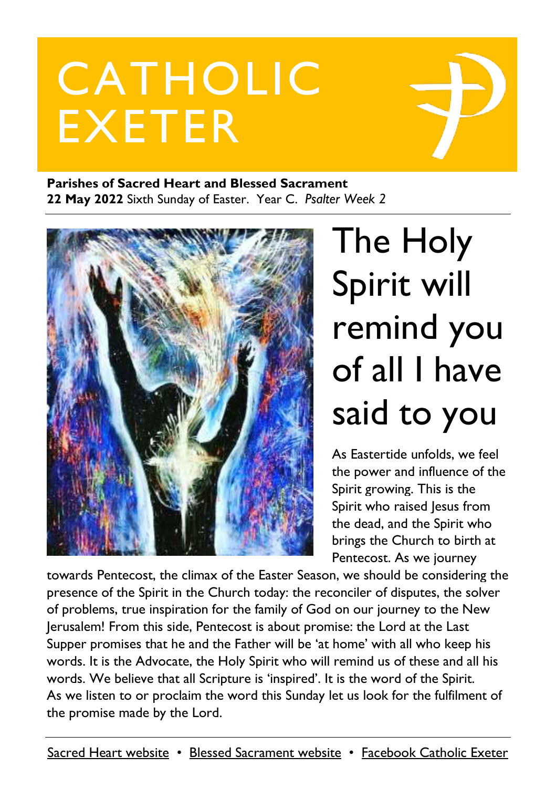# CATHOLIC EXETER

#### **Parishes of Sacred Heart and Blessed Sacrament 22 May 2022** Sixth Sunday of Easter. Year C. *Psalter Week 2*



# The Holy Spirit will remind you of all I have said to you

As Eastertide unfolds, we feel the power and influence of the Spirit growing. This is the Spirit who raised Jesus from the dead, and the Spirit who brings the Church to birth at Pentecost. As we journey

towards Pentecost, the climax of the Easter Season, we should be considering the presence of the Spirit in the Church today: the reconciler of disputes, the solver of problems, true inspiration for the family of God on our journey to the New Jerusalem! From this side, Pentecost is about promise: the Lord at the Last Supper promises that he and the Father will be 'at home' with all who keep his words. It is the Advocate, the Holy Spirit who will remind us of these and all his words. We believe that all Scripture is 'inspired'. It is the word of the Spirit. As we listen to or proclaim the word this Sunday let us look for the fulfilment of the promise made by the Lord.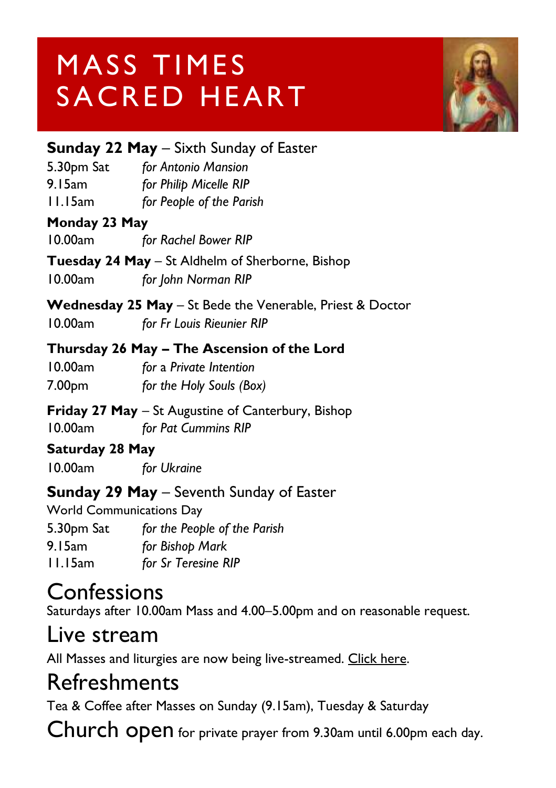# MASS TIMES SACRED HEART



#### **Sunday 22 May** – Sixth Sunday of Easter

5.30pm Sat *for Antonio Mansion* 9.15am *for Philip Micelle RIP* 11.15am *for People of the Parish*

#### **Monday 23 May**

10.00am *for Rachel Bower RIP*

**Tuesday 24 May** – St Aldhelm of Sherborne, Bishop 10.00am *for John Norman RIP*

**Wednesday 25 May** – St Bede the Venerable, Priest & Doctor

10.00am *for Fr Louis Rieunier RIP*

#### **Thursday 26 May – The Ascension of the Lord**

10.00am *for* a *Private Intention* 7.00pm *for the Holy Souls (Box)*

**Friday 27 May** – St Augustine of Canterbury, Bishop 10.00am *for Pat Cummins RIP*

#### **Saturday 28 May**

10.00am *for Ukraine*

#### **Sunday 29 May** – Seventh Sunday of Easter

World Communications Day 5.30pm Sat *for the People of the Parish* 9.15am *for Bishop Mark* 11.15am *for Sr Teresine RIP*

#### Confessions

Saturdays after 10.00am Mass and 4.00–5.00pm and on reasonable request.

#### Live stream

All Masses and liturgies are now being live-streamed. [Click here.](https://www.youtube.com/channel/UCqZLydKWQ6CqG2utRNBeKmA)

#### Refreshments

Tea & Coffee after Masses on Sunday (9.15am), Tuesday & Saturday

Church open for private prayer from 9.30am until 6.00pm each day.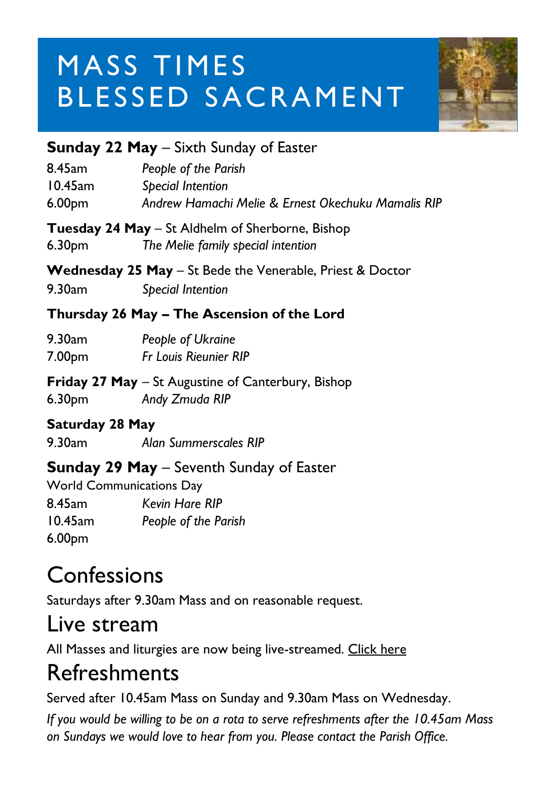# MASS TIMES BLESSED SACRAMENT



#### **Sunday 22 May** – Sixth Sunday of Easter

| 8.45am             | People of the Parish                               |
|--------------------|----------------------------------------------------|
| $10.45$ am         | Special Intention                                  |
| 6.00 <sub>pm</sub> | Andrew Hamachi Melie & Ernest Okechuku Mamalis RIP |

**Tuesday 24 May** – St Aldhelm of Sherborne, Bishop 6.30pm *The Melie family special intention*

**Wednesday 25 May** – St Bede the Venerable, Priest & Doctor

9.30am *Special Intention*

#### **Thursday 26 May – The Ascension of the Lord**

| 9.30am             | People of Ukraine            |
|--------------------|------------------------------|
| 7.00 <sub>pm</sub> | <b>Fr Louis Rieunier RIP</b> |

**Friday 27 May** – St Augustine of Canterbury, Bishop 6.30pm *Andy Zmuda RIP*

#### **Saturday 28 May**

9.30am *Alan Summerscales RIP*

#### **Sunday 29 May** – Seventh Sunday of Easter

World Communications Day 8.45am *Kevin Hare RIP* 10.45am *People of the Parish* 6.00pm

### **Confessions**

Saturdays after 9.30am Mass and on reasonable request.

#### Live stream

All Masses and liturgies are now being live-streamed. [Click here](https://www.youtube.com/c/BlessedSacramentExeter)

## Refreshments

Served after 10.45am Mass on Sunday and 9.30am Mass on Wednesday.

*If you would be willing to be on a rota to serve refreshments after the 10.45am Mass on Sundays we would love to hear from you. Please contact the Parish Office.*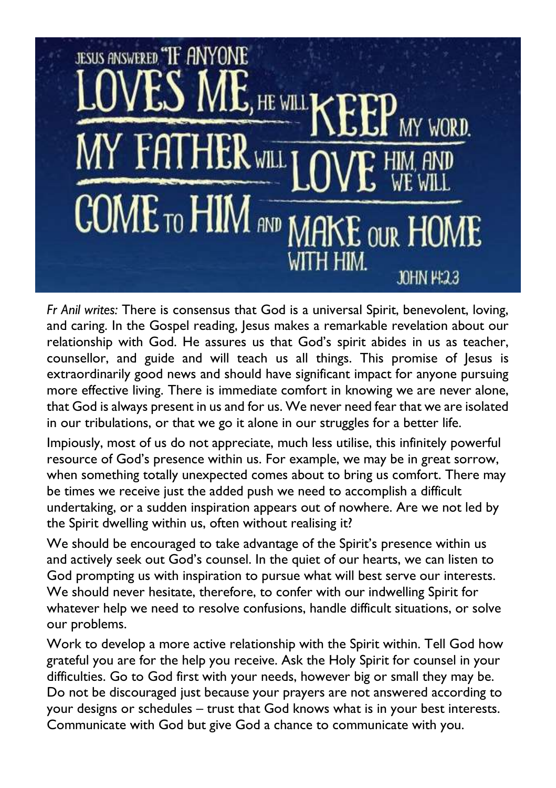

*Fr Anil writes:* There is consensus that God is a universal Spirit, benevolent, loving, and caring. In the Gospel reading, Jesus makes a remarkable revelation about our relationship with God. He assures us that God's spirit abides in us as teacher, counsellor, and guide and will teach us all things. This promise of Jesus is extraordinarily good news and should have significant impact for anyone pursuing more effective living. There is immediate comfort in knowing we are never alone, that God is always present in us and for us. We never need fear that we are isolated in our tribulations, or that we go it alone in our struggles for a better life.

Impiously, most of us do not appreciate, much less utilise, this infinitely powerful resource of God's presence within us. For example, we may be in great sorrow, when something totally unexpected comes about to bring us comfort. There may be times we receive just the added push we need to accomplish a difficult undertaking, or a sudden inspiration appears out of nowhere. Are we not led by the Spirit dwelling within us, often without realising it?

We should be encouraged to take advantage of the Spirit's presence within us and actively seek out God's counsel. In the quiet of our hearts, we can listen to God prompting us with inspiration to pursue what will best serve our interests. We should never hesitate, therefore, to confer with our indwelling Spirit for whatever help we need to resolve confusions, handle difficult situations, or solve our problems.

Work to develop a more active relationship with the Spirit within. Tell God how grateful you are for the help you receive. Ask the Holy Spirit for counsel in your difficulties. Go to God first with your needs, however big or small they may be. Do not be discouraged just because your prayers are not answered according to your designs or schedules – trust that God knows what is in your best interests. Communicate with God but give God a chance to communicate with you.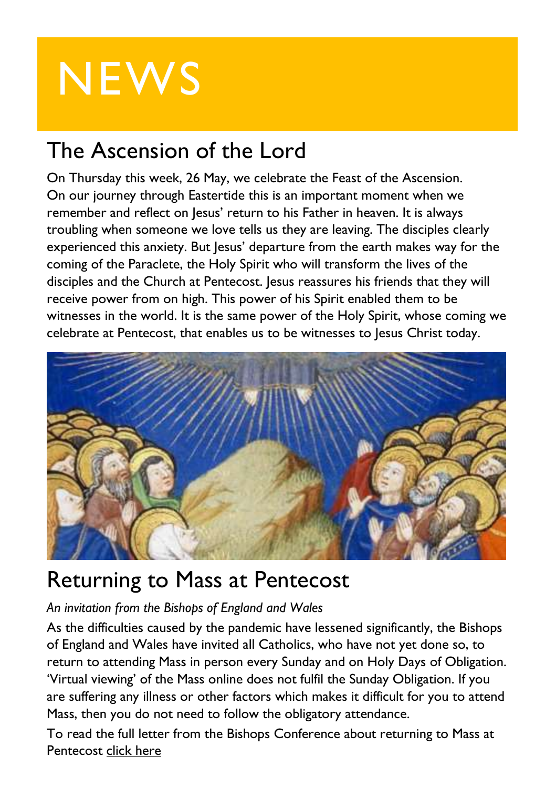# **NEWS**

## The Ascension of the Lord

On Thursday this week, 26 May, we celebrate the Feast of the Ascension. On our journey through Eastertide this is an important moment when we remember and reflect on Jesus' return to his Father in heaven. It is always troubling when someone we love tells us they are leaving. The disciples clearly experienced this anxiety. But Jesus' departure from the earth makes way for the coming of the Paraclete, the Holy Spirit who will transform the lives of the disciples and the Church at Pentecost. Jesus reassures his friends that they will receive power from on high. This power of his Spirit enabled them to be witnesses in the world. It is the same power of the Holy Spirit, whose coming we celebrate at Pentecost, that enables us to be witnesses to Jesus Christ today.



### Returning to Mass at Pentecost

#### *An invitation from the Bishops of England and Wales*

As the difficulties caused by the pandemic have lessened significantly, the Bishops of England and Wales have invited all Catholics, who have not yet done so, to return to attending Mass in person every Sunday and on Holy Days of Obligation. 'Virtual viewing' of the Mass online does not fulfil the Sunday Obligation. If you are suffering any illness or other factors which makes it difficult for you to attend Mass, then you do not need to follow the obligatory attendance.

To read the full letter from the Bishops Conference about returning to Mass at Pentecost click [here](https://www.cbcew.org.uk/spring-plenary-2022-resolution-returning-to-mass-at-pentecost/)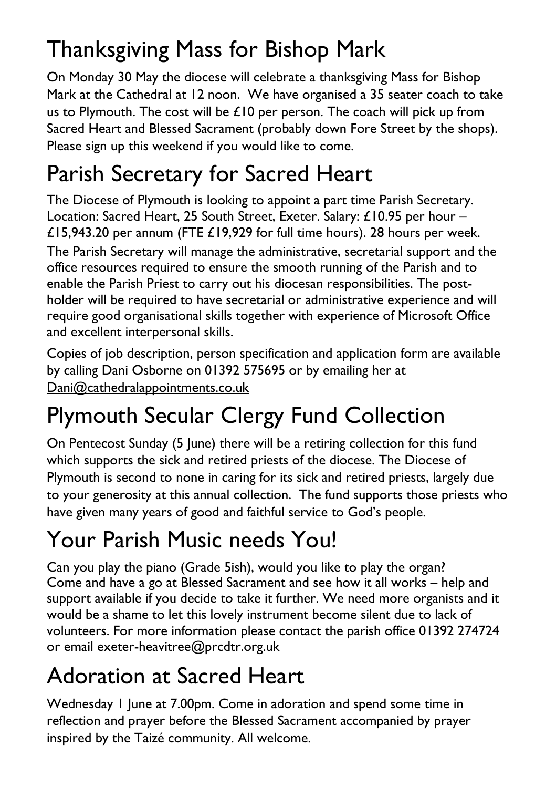## Thanksgiving Mass for Bishop Mark

On Monday 30 May the diocese will celebrate a thanksgiving Mass for Bishop Mark at the Cathedral at 12 noon. We have organised a 35 seater coach to take us to Plymouth. The cost will be £10 per person. The coach will pick up from Sacred Heart and Blessed Sacrament (probably down Fore Street by the shops). Please sign up this weekend if you would like to come.

## Parish Secretary for Sacred Heart

The Diocese of Plymouth is looking to appoint a part time Parish Secretary. Location: Sacred Heart, 25 South Street, Exeter. Salary: £10.95 per hour – £15,943.20 per annum (FTE £19,929 for full time hours). 28 hours per week.

The Parish Secretary will manage the administrative, secretarial support and the office resources required to ensure the smooth running of the Parish and to enable the Parish Priest to carry out his diocesan responsibilities. The postholder will be required to have secretarial or administrative experience and will require good organisational skills together with experience of Microsoft Office and excellent interpersonal skills.

Copies of job description, person specification and application form are available by calling Dani Osborne on 01392 575695 or by emailing her at [Dani@cathedralappointments.co.uk](mailto:Dani@cathedralappointments.co.uk)

# Plymouth Secular Clergy Fund Collection

On Pentecost Sunday (5 June) there will be a retiring collection for this fund which supports the sick and retired priests of the diocese. The Diocese of Plymouth is second to none in caring for its sick and retired priests, largely due to your generosity at this annual collection. The fund supports those priests who have given many years of good and faithful service to God's people.

# Your Parish Music needs You!

Can you play the piano (Grade 5ish), would you like to play the organ? Come and have a go at Blessed Sacrament and see how it all works – help and support available if you decide to take it further. We need more organists and it would be a shame to let this lovely instrument become silent due to lack of volunteers. For more information please contact the parish office 01392 274724 or email exeter-heavitree@prcdtr.org.uk

## Adoration at Sacred Heart

Wednesday 1 June at 7.00pm. Come in adoration and spend some time in reflection and prayer before the Blessed Sacrament accompanied by prayer inspired by the Taizé community. All welcome.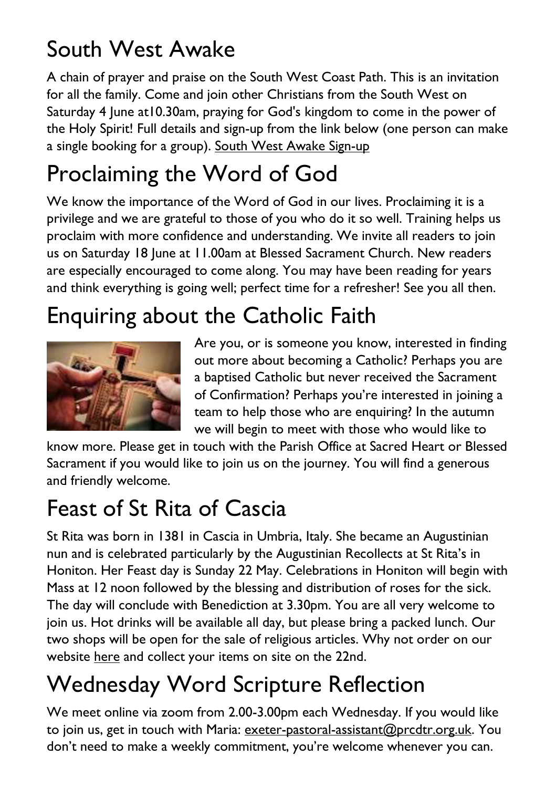## South West Awake

A chain of prayer and praise on the South West Coast Path. This is an invitation for all the family. Come and join other Christians from the South West on Saturday 4 June at10.30am, praying for God's kingdom to come in the power of the Holy Spirit! Full details and sign-up from the link below (one person can make a single booking for a group). South West Awake [Sign-up](https://www.southwestawake.com/join)

## Proclaiming the Word of God

We know the importance of the Word of God in our lives. Proclaiming it is a privilege and we are grateful to those of you who do it so well. Training helps us proclaim with more confidence and understanding. We invite all readers to join us on Saturday 18 June at 11.00am at Blessed Sacrament Church. New readers are especially encouraged to come along. You may have been reading for years and think everything is going well; perfect time for a refresher! See you all then.

## Enquiring about the Catholic Faith



Are you, or is someone you know, interested in finding out more about becoming a Catholic? Perhaps you are a baptised Catholic but never received the Sacrament of Confirmation? Perhaps you're interested in joining a team to help those who are enquiring? In the autumn we will begin to meet with those who would like to

know more. Please get in touch with the Parish Office at Sacred Heart or Blessed Sacrament if you would like to join us on the journey. You will find a generous and friendly welcome.

## Feast of St Rita of Cascia

St Rita was born in 1381 in Cascia in Umbria, Italy. She became an Augustinian nun and is celebrated particularly by the Augustinian Recollects at St Rita's in Honiton. Her Feast day is Sunday 22 May. Celebrations in Honiton will begin with Mass at 12 noon followed by the blessing and distribution of roses for the sick. The day will conclude with Benediction at 3.30pm. You are all very welcome to join us. Hot drinks will be available all day, but please bring a packed lunch. Our two shops will be open for the sale of religious articles. Why not order on our website [here](https://www.stritascentre.org/st-rita-s-shop) and collect your items on site on the 22nd.

# Wednesday Word Scripture Reflection

We meet online via zoom from 2.00-3.00pm each Wednesday. If you would like to join us, get in touch with Maria: <u>exeter-pastoral-assistant@prcdtr.org.uk</u>. You don't need to make a weekly commitment, you're welcome whenever you can.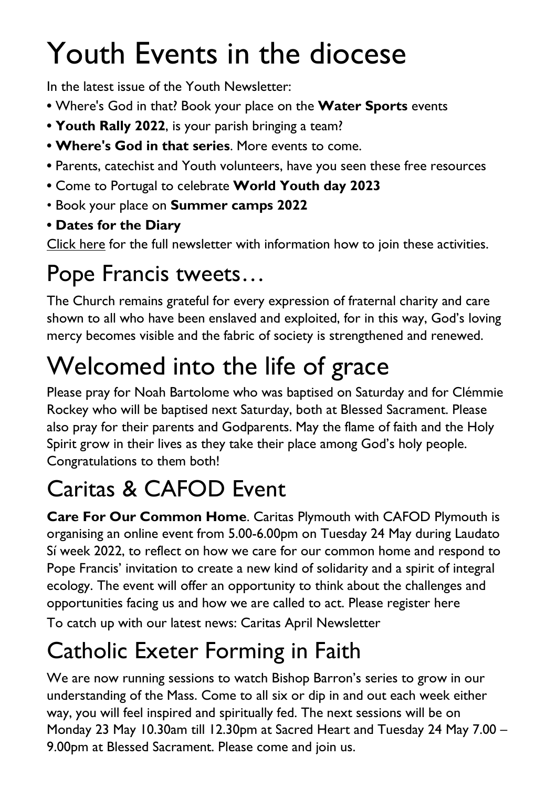# Youth Events in the diocese

In the latest issue of the Youth Newsletter:

- **•** Where's God in that? Book your place on the **Water Sports** events
- **• Youth Rally 2022**, is your parish bringing a team?
- **• Where's God in that series**. More events to come.
- **•** Parents, catechist and Youth volunteers, have you seen these free resources
- **•** Come to Portugal to celebrate **World Youth day 2023**
- Book your place on **Summer camps 2022**
- **• Dates for the Diary**

[Click](https://email.workwithgusto.co.uk/t/t-900640DB0E0689462540EF23F30FEDED) here for the full newsletter with information how to join these activities.

# Pope Francis tweets…

The Church remains grateful for every expression of fraternal charity and care shown to all who have been enslaved and exploited, for in this way, God's loving mercy becomes visible and the fabric of society is strengthened and renewed.

# Welcomed into the life of grace

Please pray for Noah Bartolome who was baptised on Saturday and for Clémmie Rockey who will be baptised next Saturday, both at Blessed Sacrament. Please also pray for their parents and Godparents. May the flame of faith and the Holy Spirit grow in their lives as they take their place among God's holy people. Congratulations to them both!

# Caritas & CAFOD Event

**Care For Our Common Home**. Caritas Plymouth with CAFOD Plymouth is organising an online event from 5.00-6.00pm on Tuesday 24 May during Laudato Sí week 2022, to reflect on how we care for our common home and respond to Pope Francis' invitation to create a new kind of solidarity and a spirit of integral ecology. The event will offer an opportunity to think about the challenges and opportunities facing us and how we are called to act. Please [register](https://forms.office.com/r/L7nNXjjb57) here To catch up with our latest news: Caritas April [Newsletter](https://email.workwithgusto.co.uk/t/t-92E98FEB5804515E2540EF23F30FEDED)

# Catholic Exeter Forming in Faith

We are now running sessions to watch Bishop Barron's series to grow in our understanding of the Mass. Come to all six or dip in and out each week either way, you will feel inspired and spiritually fed. The next sessions will be on Monday 23 May 10.30am till 12.30pm at Sacred Heart and Tuesday 24 May 7.00 – 9.00pm at Blessed Sacrament. Please come and join us.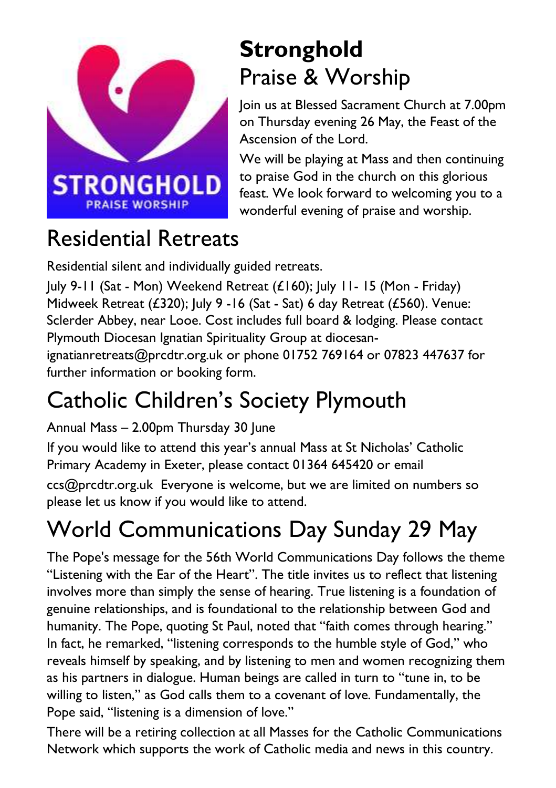

## **Stronghold** Praise & Worship

Join us at Blessed Sacrament Church at 7.00pm on Thursday evening 26 May, the Feast of the Ascension of the Lord.

We will be playing at Mass and then continuing to praise God in the church on this glorious feast. We look forward to welcoming you to a wonderful evening of praise and worship.

## Residential Retreats

Residential silent and individually guided retreats.

July 9-11 (Sat - Mon) Weekend Retreat (£160); July 11- 15 (Mon - Friday) Midweek Retreat (£320); July 9 -16 (Sat - Sat) 6 day Retreat (£560). Venue: Sclerder Abbey, near Looe. Cost includes full board & lodging. Please contact Plymouth Diocesan Ignatian Spirituality Group at diocesanignatianretreats@prcdtr.org.uk or phone 01752 769164 or 07823 447637 for further information or booking form.

# Catholic Children's Society Plymouth

Annual Mass – 2.00pm Thursday 30 June If you would like to attend this year's annual Mass at St Nicholas' Catholic Primary Academy in Exeter, please contact 01364 645420 or email [ccs@prcdtr.org.uk](mailto:ccs@prcdtr.org.uk) Everyone is welcome, but we are limited on numbers so please let us know if you would like to attend.

# World Communications Day Sunday 29 May

The Pope's message for the 56th World Communications Day follows the theme "Listening with the Ear of the Heart". The title invites us to reflect that listening involves more than simply the sense of hearing. True listening is a foundation of genuine relationships, and is foundational to the relationship between God and humanity. The Pope, quoting St Paul, noted that "faith comes through hearing." In fact, he remarked, "listening corresponds to the humble style of God," who reveals himself by speaking, and by listening to men and women recognizing them as his partners in dialogue. Human beings are called in turn to "tune in, to be willing to listen," as God calls them to a covenant of love. Fundamentally, the Pope said, "listening is a dimension of love."

There will be a retiring collection at all Masses for the Catholic Communications Network which supports the work of Catholic media and news in this country.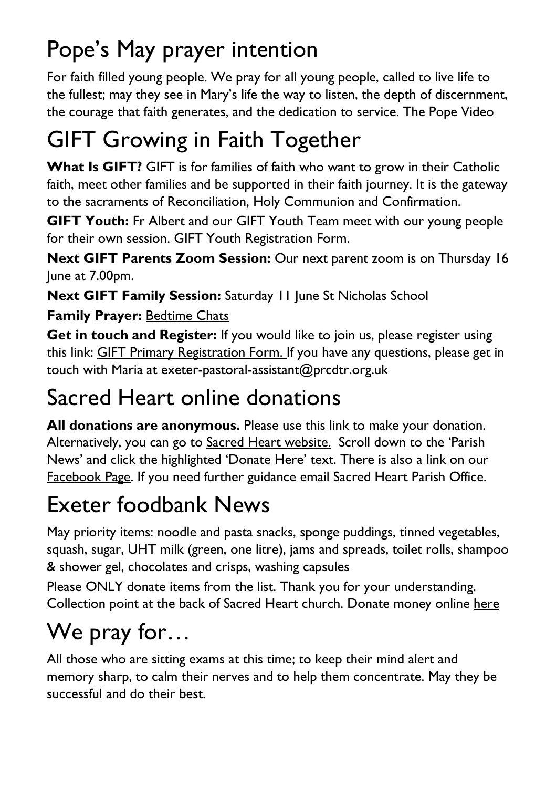# Pope's May prayer intention

For faith filled young people. We pray for all young people, called to live life to the fullest; may they see in Mary's life the way to listen, the depth of discernment, the courage that faith generates, and the dedication to service. The Pope [Video](https://thepopevideo.org/)

# GIFT Growing in Faith Together

**What Is GIFT?** GIFT is for families of faith who want to grow in their Catholic faith, meet other families and be supported in their faith journey. It is the gateway to the sacraments of Reconciliation, Holy Communion and Confirmation.

**GIFT Youth:** Fr Albert and our GIFT Youth Team meet with our young people for their own session. GIFT Youth [Registration](https://docs.google.com/forms/d/1js2AU2QewgH1ui7kjv2-mKDJcyulRGa34G-Eo3ao8FI/edit) Form.

**Next GIFT Parents Zoom Session:** Our next parent zoom is on Thursday 16 June at 7.00pm.

**Next GIFT Family Session:** Saturday 11 June St Nicholas School

#### **Family Prayer:** [Bedtime](https://www.blessedsacrament.org.uk/parish-life/gift/) Chats

**Get in touch and Register:** If you would like to join us, please register using this link: GIFT Primary [Registration](https://docs.google.com/forms/d/1Qs8jP69t9hS5V3ukZvm34yn8pDZdS0iDYrhXY_j8pMQ/edit) Form. If you have any questions, please get in touch with Maria at [exeter-pastoral-assistant@prcdtr.org.uk](mailto:exeter-pastoral-assistant@prcdtr.org.uk)

## Sacred Heart online donations

**All donations are anonymous.** Please use [this](https://givealittle.co/campaigns/f94e8739-d2fd-4ce6-9fca60470ef39403) link to make your donation. Alternatively, you can go to Sacred Heart [website.](https://www.sacredheartexeter.org/) Scroll down to the 'Parish News' and click the highlighted 'Donate Here' text. There is also a link on our [Facebook](https://www.facebook.com/Sacred-HeartCatholic-Church-Exeter-422138011310698) Page. If you need further guidance email Sacred Heart Parish Office.

## Exeter foodbank News

May priority items: noodle and pasta snacks, sponge puddings, tinned vegetables, squash, sugar, UHT milk (green, one litre), jams and spreads, toilet rolls, shampoo & shower gel, chocolates and crisps, washing capsules

Please ONLY donate items from the list. Thank you for your understanding. Collection point at the back of Sacred Heart church. Donate money online [here](https://uk.virginmoneygiving.com/charity-web/charity/finalCharityHomepage.action?charityId=1016975&_ga=2.106832579.1384579075.1617955505-1667813714.1617955505)

# We pray for…

All those who are sitting exams at this time; to keep their mind alert and memory sharp, to calm their nerves and to help them concentrate. May they be successful and do their best.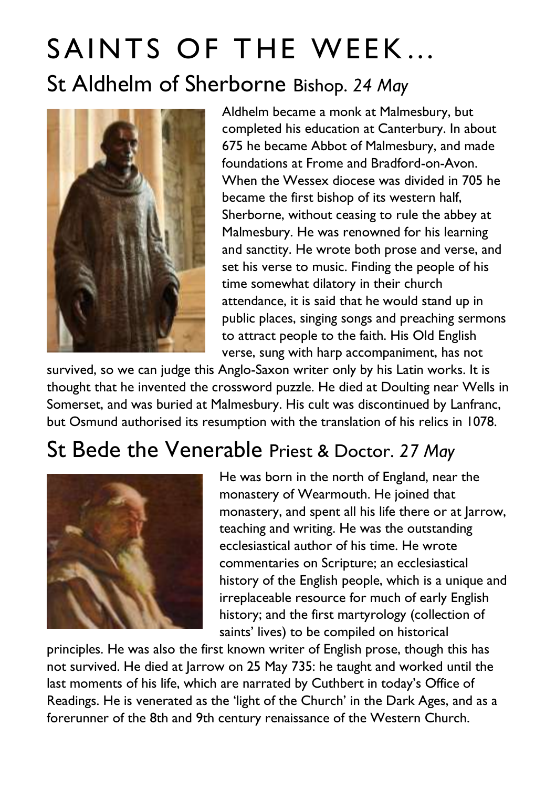# SAINTS OF THE WEEK… St Aldhelm of Sherborne Bishop. *24 May*



Aldhelm became a monk at Malmesbury, but completed his education at Canterbury. In about 675 he became Abbot of Malmesbury, and made foundations at Frome and Bradford-on-Avon. When the Wessex diocese was divided in 705 he became the first bishop of its western half, Sherborne, without ceasing to rule the abbey at Malmesbury. He was renowned for his learning and sanctity. He wrote both prose and verse, and set his verse to music. Finding the people of his time somewhat dilatory in their church attendance, it is said that he would stand up in public places, singing songs and preaching sermons to attract people to the faith. His Old English verse, sung with harp accompaniment, has not

survived, so we can judge this Anglo-Saxon writer only by his Latin works. It is thought that he invented the crossword puzzle. He died at Doulting near Wells in Somerset, and was buried at Malmesbury. His cult was discontinued by Lanfranc, but Osmund authorised its resumption with the translation of his relics in 1078.

#### St Bede the Venerable Priest & Doctor. *27 May*



He was born in the north of England, near the monastery of Wearmouth. He joined that monastery, and spent all his life there or at Jarrow, teaching and writing. He was the outstanding ecclesiastical author of his time. He wrote commentaries on Scripture; an ecclesiastical history of the English people, which is a unique and irreplaceable resource for much of early English history; and the first martyrology (collection of saints' lives) to be compiled on historical

principles. He was also the first known writer of English prose, though this has not survived. He died at Jarrow on 25 May 735: he taught and worked until the last moments of his life, which are narrated by Cuthbert in today's Office of Readings. He is venerated as the 'light of the Church' in the Dark Ages, and as a forerunner of the 8th and 9th century renaissance of the Western Church.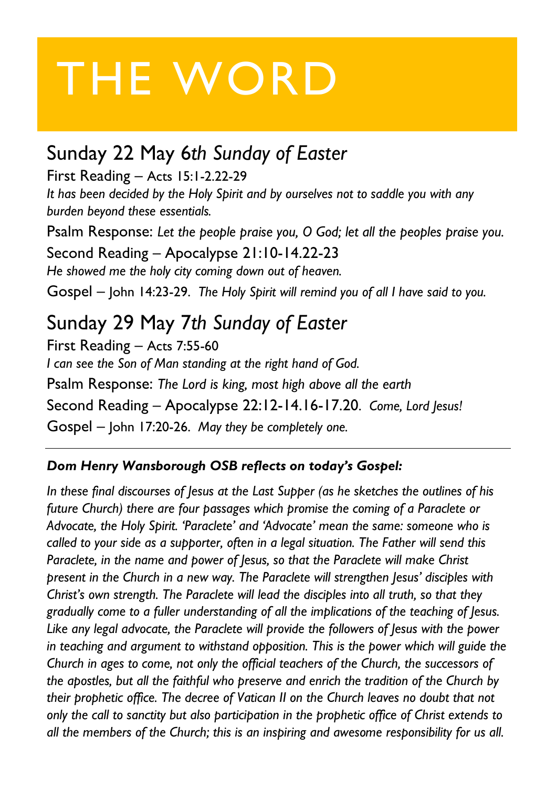# THE WORD

#### Sunday 22 May 6*th Sunday of Easter*

First Reading – Acts 15:1-2.22-29 *It has been decided by the Holy Spirit and by ourselves not to saddle you with any burden beyond these essentials.*

Psalm Response: *Let the people praise you, O God; let all the peoples praise you.* Second Reading – Apocalypse 21:10-14.22-23 *He showed me the holy city coming down out of heaven.* Gospel – John 14:23-29. *The Holy Spirit will remind you of all I have said to you.*

Sunday 29 May 7*th Sunday of Easter* First Reading – Acts 7:55-60 *I can see the Son of Man standing at the right hand of God.* Psalm Response: *The Lord is king, most high above all the earth* Second Reading – Apocalypse 22:12-14.16-17.20. *Come, Lord Jesus!* Gospel – John 17:20-26. *May they be completely one.*

#### *Dom Henry Wansborough OSB reflects on today's Gospel:*

*In these final discourses of Jesus at the Last Supper (as he sketches the outlines of his future Church) there are four passages which promise the coming of a Paraclete or Advocate, the Holy Spirit. 'Paraclete' and 'Advocate' mean the same: someone who is called to your side as a supporter, often in a legal situation. The Father will send this Paraclete, in the name and power of Jesus, so that the Paraclete will make Christ present in the Church in a new way. The Paraclete will strengthen Jesus' disciples with Christ's own strength. The Paraclete will lead the disciples into all truth, so that they gradually come to a fuller understanding of all the implications of the teaching of Jesus. Like any legal advocate, the Paraclete will provide the followers of Jesus with the power in teaching and argument to withstand opposition. This is the power which will guide the Church in ages to come, not only the official teachers of the Church, the successors of the apostles, but all the faithful who preserve and enrich the tradition of the Church by their prophetic office. The decree of Vatican II on the Church leaves no doubt that not only the call to sanctity but also participation in the prophetic office of Christ extends to all the members of the Church; this is an inspiring and awesome responsibility for us all.*